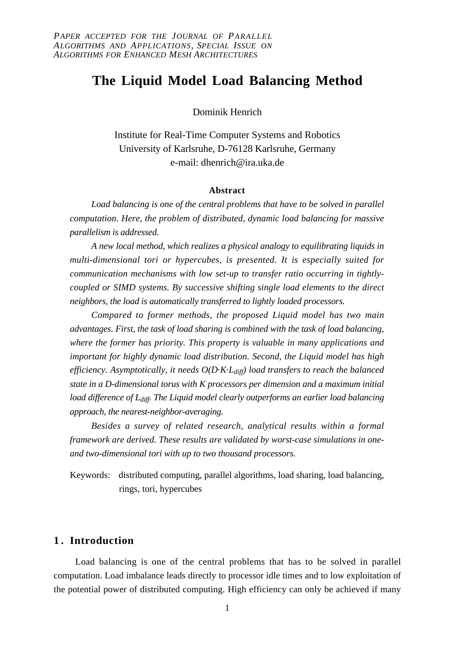# **The Liquid Model Load Balancing Method**

Dominik Henrich

Institute for Real-Time Computer Systems and Robotics University of Karlsruhe, D-76128 Karlsruhe, Germany e-mail: dhenrich@ira.uka.de

# **Abstract**

*Load balancing is one of the central problems that have to be solved in parallel computation. Here, the problem of distributed, dynamic load balancing for massive parallelism is addressed.*

*A new local method, which realizes a physical analogy to equilibrating liquids in multi-dimensional tori or hypercubes, is presented. It is especially suited for communication mechanisms with low set-up to transfer ratio occurring in tightlycoupled or SIMD systems. By successive shifting single load elements to the direct neighbors, the load is automatically transferred to lightly loaded processors.*

*Compared to former methods, the proposed Liquid model has two main advantages. First, the task of load sharing is combined with the task of load balancing, where the former has priority. This property is valuable in many applications and important for highly dynamic load distribution. Second, the Liquid model has high efficiency. Asymptotically, it needs O(D.K.Ldiff) load transfers to reach the balanced state in a D-dimensional torus with K processors per dimension and a maximum initial* load difference of L<sub>diff</sub>. The Liquid model clearly outperforms an earlier load balancing *approach, the nearest-neighbor-averaging.*

*Besides a survey of related research, analytical results within a formal framework are derived. These results are validated by worst-case simulations in oneand two-dimensional tori with up to two thousand processors.*

Keywords: distributed computing, parallel algorithms, load sharing, load balancing, rings, tori, hypercubes

# **1 . Introduction**

Load balancing is one of the central problems that has to be solved in parallel computation. Load imbalance leads directly to processor idle times and to low exploitation of the potential power of distributed computing. High efficiency can only be achieved if many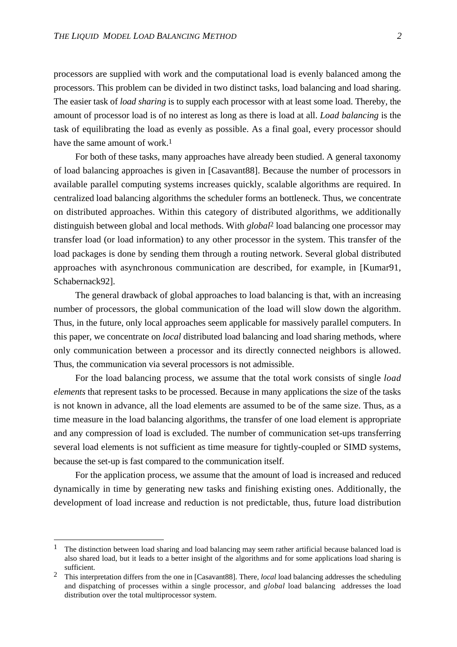processors are supplied with work and the computational load is evenly balanced among the processors. This problem can be divided in two distinct tasks, load balancing and load sharing. The easier task of *load sharing* is to supply each processor with at least some load. Thereby, the amount of processor load is of no interest as long as there is load at all. *Load balancing* is the task of equilibrating the load as evenly as possible. As a final goal, every processor should have the same amount of work.<sup>1</sup>

For both of these tasks, many approaches have already been studied. A general taxonomy of load balancing approaches is given in [Casavant88]. Because the number of processors in available parallel computing systems increases quickly, scalable algorithms are required. In centralized load balancing algorithms the scheduler forms an bottleneck. Thus, we concentrate on distributed approaches. Within this category of distributed algorithms, we additionally distinguish between global and local methods. With *global*2 load balancing one processor may transfer load (or load information) to any other processor in the system. This transfer of the load packages is done by sending them through a routing network. Several global distributed approaches with asynchronous communication are described, for example, in [Kumar91, Schabernack92].

The general drawback of global approaches to load balancing is that, with an increasing number of processors, the global communication of the load will slow down the algorithm. Thus, in the future, only local approaches seem applicable for massively parallel computers. In this paper, we concentrate on *local* distributed load balancing and load sharing methods, where only communication between a processor and its directly connected neighbors is allowed. Thus, the communication via several processors is not admissible.

For the load balancing process, we assume that the total work consists of single *load elements* that represent tasks to be processed. Because in many applications the size of the tasks is not known in advance, all the load elements are assumed to be of the same size. Thus, as a time measure in the load balancing algorithms, the transfer of one load element is appropriate and any compression of load is excluded. The number of communication set-ups transferring several load elements is not sufficient as time measure for tightly-coupled or SIMD systems, because the set-up is fast compared to the communication itself.

For the application process, we assume that the amount of load is increased and reduced dynamically in time by generating new tasks and finishing existing ones. Additionally, the development of load increase and reduction is not predictable, thus, future load distribution

<sup>&</sup>lt;sup>1</sup> The distinction between load sharing and load balancing may seem rather artificial because balanced load is also shared load, but it leads to a better insight of the algorithms and for some applications load sharing is sufficient.

<sup>2</sup> This interpretation differs from the one in [Casavant88]. There, *local* load balancing addresses the scheduling and dispatching of processes within a single processor, and *global* load balancing addresses the load distribution over the total multiprocessor system.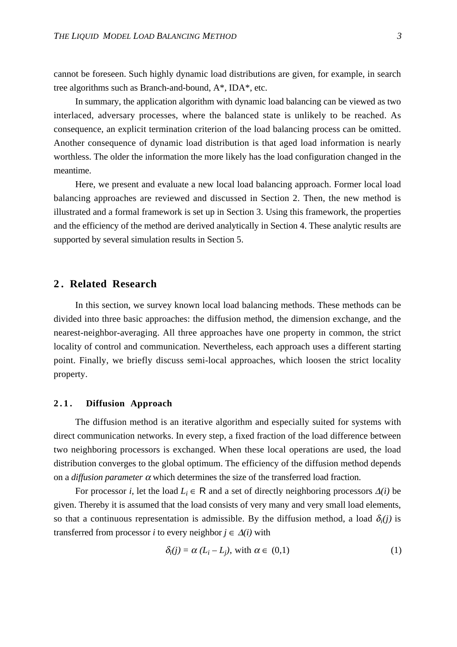cannot be foreseen. Such highly dynamic load distributions are given, for example, in search tree algorithms such as Branch-and-bound, A\*, IDA\*, etc.

In summary, the application algorithm with dynamic load balancing can be viewed as two interlaced, adversary processes, where the balanced state is unlikely to be reached. As consequence, an explicit termination criterion of the load balancing process can be omitted. Another consequence of dynamic load distribution is that aged load information is nearly worthless. The older the information the more likely has the load configuration changed in the meantime.

Here, we present and evaluate a new local load balancing approach. Former local load balancing approaches are reviewed and discussed in Section 2. Then, the new method is illustrated and a formal framework is set up in Section 3. Using this framework, the properties and the efficiency of the method are derived analytically in Section 4. These analytic results are supported by several simulation results in Section 5.

# **2 . Related Research**

In this section, we survey known local load balancing methods. These methods can be divided into three basic approaches: the diffusion method, the dimension exchange, and the nearest-neighbor-averaging. All three approaches have one property in common, the strict locality of control and communication. Nevertheless, each approach uses a different starting point. Finally, we briefly discuss semi-local approaches, which loosen the strict locality property.

## **2.1. Diffusion Approach**

The diffusion method is an iterative algorithm and especially suited for systems with direct communication networks. In every step, a fixed fraction of the load difference between two neighboring processors is exchanged. When these local operations are used, the load distribution converges to the global optimum. The efficiency of the diffusion method depends on a *diffusion parameter*  $\alpha$  which determines the size of the transferred load fraction.

For processor *i*, let the load  $L_i \in \mathbb{R}$  and a set of directly neighboring processors  $\Delta(i)$  be given. Thereby it is assumed that the load consists of very many and very small load elements, so that a continuous representation is admissible. By the diffusion method, a load  $\delta_i(j)$  is transferred from processor *i* to every neighbor  $j \in \Delta(i)$  with

$$
\delta_i(j) = \alpha (L_i - L_j), \text{ with } \alpha \in (0,1) \tag{1}
$$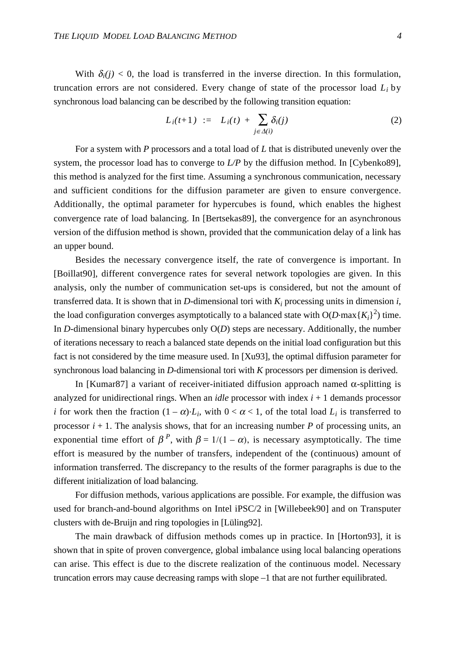With  $\delta_i(i)$  < 0, the load is transferred in the inverse direction. In this formulation, truncation errors are not considered. Every change of state of the processor load *Li* by synchronous load balancing can be described by the following transition equation:

$$
L_i(t+1) \quad := \quad L_i(t) \; + \; \sum_{j \in \Delta(i)} \delta_i(j) \tag{2}
$$

For a system with *P* processors and a total load of *L* that is distributed unevenly over the system, the processor load has to converge to *L/P* by the diffusion method. In [Cybenko89], this method is analyzed for the first time. Assuming a synchronous communication, necessary and sufficient conditions for the diffusion parameter are given to ensure convergence. Additionally, the optimal parameter for hypercubes is found, which enables the highest convergence rate of load balancing. In [Bertsekas89], the convergence for an asynchronous version of the diffusion method is shown, provided that the communication delay of a link has an upper bound.

Besides the necessary convergence itself, the rate of convergence is important. In [Boillat90], different convergence rates for several network topologies are given. In this analysis, only the number of communication set-ups is considered, but not the amount of transferred data. It is shown that in *D*-dimensional tori with  $K_i$  processing units in dimension *i*, the load configuration converges asymptotically to a balanced state with  $O(D \cdot max\{K_i\}^2)$  time. In *D*-dimensional binary hypercubes only  $O(D)$  steps are necessary. Additionally, the number of iterations necessary to reach a balanced state depends on the initial load configuration but this fact is not considered by the time measure used. In [Xu93], the optimal diffusion parameter for synchronous load balancing in *D*-dimensional tori with *K* processors per dimension is derived.

In [Kumar87] a variant of receiver-initiated diffusion approach named α-splitting is analyzed for unidirectional rings. When an *idle* processor with index  $i + 1$  demands processor *i* for work then the fraction  $(1 - \alpha) L_i$ , with  $0 < \alpha < 1$ , of the total load  $L_i$  is transferred to processor  $i + 1$ . The analysis shows, that for an increasing number *P* of processing units, an exponential time effort of  $\beta^P$ , with  $\beta = 1/(1 - \alpha)$ , is necessary asymptotically. The time effort is measured by the number of transfers, independent of the (continuous) amount of information transferred. The discrepancy to the results of the former paragraphs is due to the different initialization of load balancing.

For diffusion methods, various applications are possible. For example, the diffusion was used for branch-and-bound algorithms on Intel iPSC/2 in [Willebeek90] and on Transputer clusters with de-Bruijn and ring topologies in [Lüling92].

The main drawback of diffusion methods comes up in practice. In [Horton93], it is shown that in spite of proven convergence, global imbalance using local balancing operations can arise. This effect is due to the discrete realization of the continuous model. Necessary truncation errors may cause decreasing ramps with slope –1 that are not further equilibrated.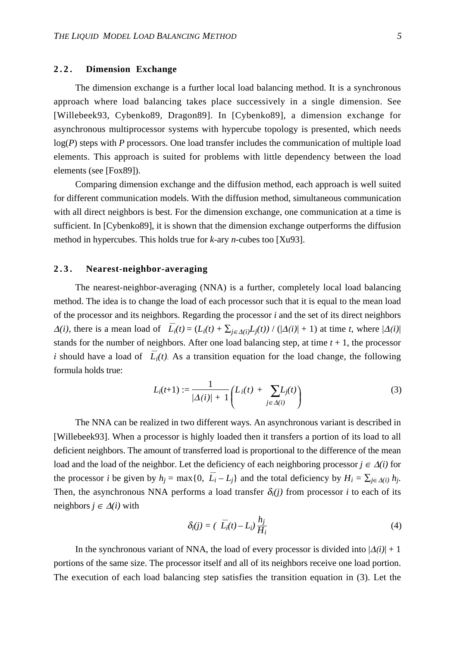# **2.2. Dimension Exchange**

The dimension exchange is a further local load balancing method. It is a synchronous approach where load balancing takes place successively in a single dimension. See [Willebeek93, Cybenko89, Dragon89]. In [Cybenko89], a dimension exchange for asynchronous multiprocessor systems with hypercube topology is presented, which needs log(*P*) steps with *P* processors. One load transfer includes the communication of multiple load elements. This approach is suited for problems with little dependency between the load elements (see [Fox89]).

Comparing dimension exchange and the diffusion method, each approach is well suited for different communication models. With the diffusion method, simultaneous communication with all direct neighbors is best. For the dimension exchange, one communication at a time is sufficient. In [Cybenko89], it is shown that the dimension exchange outperforms the diffusion method in hypercubes. This holds true for *k*-ary *n*-cubes too [Xu93].

## **2.3. Nearest-neighbor-averaging**

The nearest-neighbor-averaging (NNA) is a further, completely local load balancing method. The idea is to change the load of each processor such that it is equal to the mean load of the processor and its neighbors. Regarding the processor *i* and the set of its direct neighbors  $\Delta(i)$ , there is a mean load of  $\overline{L_i}(t) = (L_i(t) + \sum_{i \in \Delta(i)} L_i(t)) / (|\Delta(i)| + 1)$  at time *t*, where  $|\Delta(i)|$ stands for the number of neighbors. After one load balancing step, at time  $t + 1$ , the processor *i* should have a load of  $L_i(t)$ . As a transition equation for the load change, the following formula holds true:

$$
L_i(t+1) := \frac{1}{|\Delta(i)| + 1} \bigg( L_i(t) + \sum_{j \in \Delta(i)} L_j(t) \bigg) \tag{3}
$$

The NNA can be realized in two different ways. An asynchronous variant is described in [Willebeek93]. When a processor is highly loaded then it transfers a portion of its load to all deficient neighbors. The amount of transferred load is proportional to the difference of the mean load and the load of the neighbor. Let the deficiency of each neighboring processor  $j \in \Delta(i)$  for the processor *i* be given by  $h_j = \max\{0, \overline{L_i} - L_j\}$  and the total deficiency by  $H_i = \sum_{j \in \Delta(i)} h_j$ . Then, the asynchronous NNA performs a load transfer  $\delta_i(j)$  from processor *i* to each of its neighbors  $j \in \Delta(i)$  with

$$
\delta_i(j) = \left( \overline{L_i}(t) - L_i \right) \frac{h_j}{H_i} \tag{4}
$$

In the synchronous variant of NNA, the load of every processor is divided into  $|\Delta(i)| + 1$ portions of the same size. The processor itself and all of its neighbors receive one load portion. The execution of each load balancing step satisfies the transition equation in (3). Let the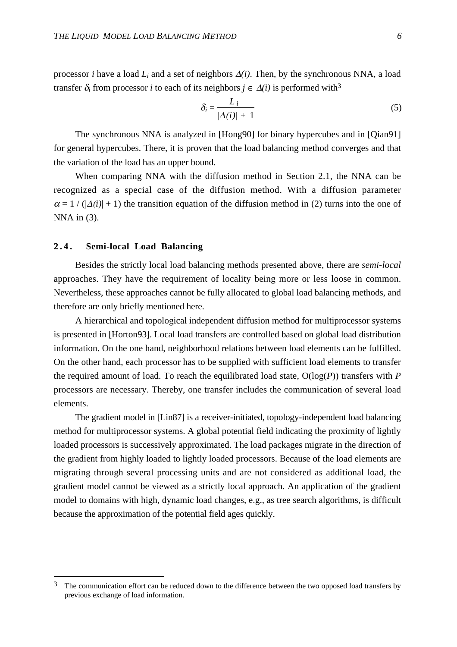processor *i* have a load *Li* and a set of neighbors ∆*(i)*. Then, by the synchronous NNA, a load transfer  $\delta_i$  from processor *i* to each of its neighbors  $j \in \Delta(i)$  is performed with<sup>3</sup>

$$
\delta_i = \frac{L_i}{|\Delta(i)| + 1} \tag{5}
$$

The synchronous NNA is analyzed in [Hong90] for binary hypercubes and in [Qian91] for general hypercubes. There, it is proven that the load balancing method converges and that the variation of the load has an upper bound.

When comparing NNA with the diffusion method in Section 2.1, the NNA can be recognized as a special case of the diffusion method. With a diffusion parameter  $\alpha = 1 / (|\Delta(i)| + 1)$  the transition equation of the diffusion method in (2) turns into the one of  $NNA$  in  $(3)$ .

#### **2 . 4 . Semi-local Load Balancing**

Besides the strictly local load balancing methods presented above, there are *semi-local* approaches. They have the requirement of locality being more or less loose in common. Nevertheless, these approaches cannot be fully allocated to global load balancing methods, and therefore are only briefly mentioned here.

A hierarchical and topological independent diffusion method for multiprocessor systems is presented in [Horton93]. Local load transfers are controlled based on global load distribution information. On the one hand, neighborhood relations between load elements can be fulfilled. On the other hand, each processor has to be supplied with sufficient load elements to transfer the required amount of load. To reach the equilibrated load state, O(log(*P*)) transfers with *P* processors are necessary. Thereby, one transfer includes the communication of several load elements.

The gradient model in [Lin87] is a receiver-initiated, topology-independent load balancing method for multiprocessor systems. A global potential field indicating the proximity of lightly loaded processors is successively approximated. The load packages migrate in the direction of the gradient from highly loaded to lightly loaded processors. Because of the load elements are migrating through several processing units and are not considered as additional load, the gradient model cannot be viewed as a strictly local approach. An application of the gradient model to domains with high, dynamic load changes, e.g., as tree search algorithms, is difficult because the approximation of the potential field ages quickly.

<sup>3</sup> The communication effort can be reduced down to the difference between the two opposed load transfers by previous exchange of load information.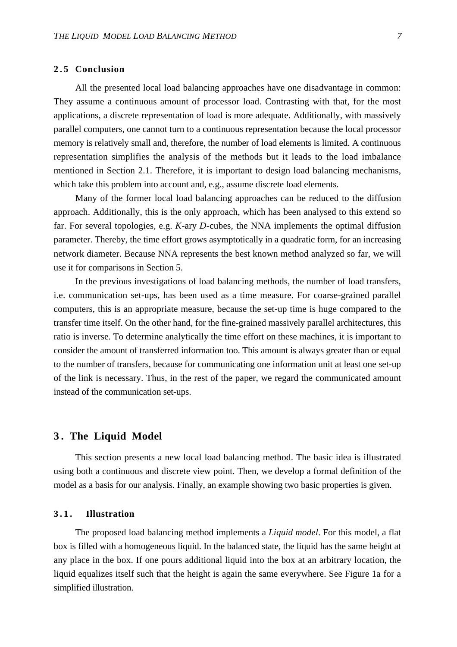#### **2.5 Conclusion**

All the presented local load balancing approaches have one disadvantage in common: They assume a continuous amount of processor load. Contrasting with that, for the most applications, a discrete representation of load is more adequate. Additionally, with massively parallel computers, one cannot turn to a continuous representation because the local processor memory is relatively small and, therefore, the number of load elements is limited. A continuous representation simplifies the analysis of the methods but it leads to the load imbalance mentioned in Section 2.1. Therefore, it is important to design load balancing mechanisms, which take this problem into account and, e.g., assume discrete load elements.

Many of the former local load balancing approaches can be reduced to the diffusion approach. Additionally, this is the only approach, which has been analysed to this extend so far. For several topologies, e.g. *K*-ary *D*-cubes, the NNA implements the optimal diffusion parameter. Thereby, the time effort grows asymptotically in a quadratic form, for an increasing network diameter. Because NNA represents the best known method analyzed so far, we will use it for comparisons in Section 5.

In the previous investigations of load balancing methods, the number of load transfers, i.e. communication set-ups, has been used as a time measure. For coarse-grained parallel computers, this is an appropriate measure, because the set-up time is huge compared to the transfer time itself. On the other hand, for the fine-grained massively parallel architectures, this ratio is inverse. To determine analytically the time effort on these machines, it is important to consider the amount of transferred information too. This amount is always greater than or equal to the number of transfers, because for communicating one information unit at least one set-up of the link is necessary. Thus, in the rest of the paper, we regard the communicated amount instead of the communication set-ups.

# **3 . The Liquid Model**

This section presents a new local load balancing method. The basic idea is illustrated using both a continuous and discrete view point. Then, we develop a formal definition of the model as a basis for our analysis. Finally, an example showing two basic properties is given.

#### **3.1. Illustration**

The proposed load balancing method implements a *Liquid model*. For this model, a flat box is filled with a homogeneous liquid. In the balanced state, the liquid has the same height at any place in the box. If one pours additional liquid into the box at an arbitrary location, the liquid equalizes itself such that the height is again the same everywhere. See Figure 1a for a simplified illustration.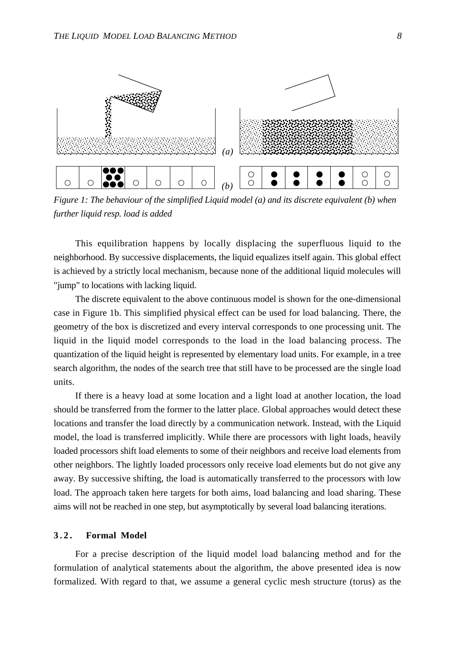

*Figure 1: The behaviour of the simplified Liquid model (a) and its discrete equivalent (b) when further liquid resp. load is added*

This equilibration happens by locally displacing the superfluous liquid to the neighborhood. By successive displacements, the liquid equalizes itself again. This global effect is achieved by a strictly local mechanism, because none of the additional liquid molecules will "jump" to locations with lacking liquid.

The discrete equivalent to the above continuous model is shown for the one-dimensional case in Figure 1b. This simplified physical effect can be used for load balancing. There, the geometry of the box is discretized and every interval corresponds to one processing unit. The liquid in the liquid model corresponds to the load in the load balancing process. The quantization of the liquid height is represented by elementary load units. For example, in a tree search algorithm, the nodes of the search tree that still have to be processed are the single load units.

If there is a heavy load at some location and a light load at another location, the load should be transferred from the former to the latter place. Global approaches would detect these locations and transfer the load directly by a communication network. Instead, with the Liquid model, the load is transferred implicitly. While there are processors with light loads, heavily loaded processors shift load elements to some of their neighbors and receive load elements from other neighbors. The lightly loaded processors only receive load elements but do not give any away. By successive shifting, the load is automatically transferred to the processors with low load. The approach taken here targets for both aims, load balancing and load sharing. These aims will not be reached in one step, but asymptotically by several load balancing iterations.

#### **3 . 2 . Formal Model**

For a precise description of the liquid model load balancing method and for the formulation of analytical statements about the algorithm, the above presented idea is now formalized. With regard to that, we assume a general cyclic mesh structure (torus) as the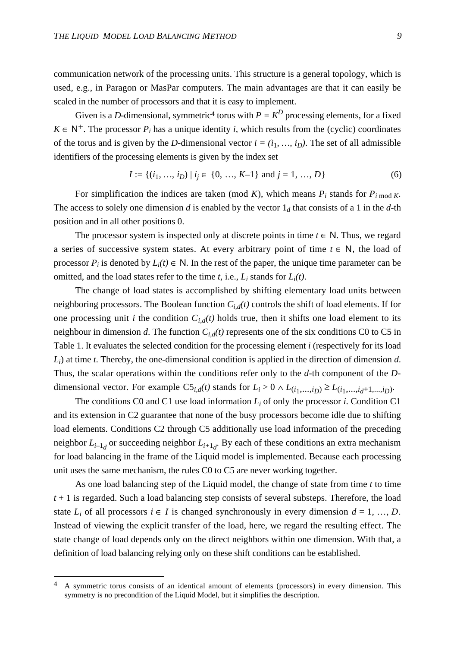communication network of the processing units. This structure is a general topology, which is used, e.g., in Paragon or MasPar computers. The main advantages are that it can easily be scaled in the number of processors and that it is easy to implement.

Given is a *D*-dimensional, symmetric<sup>4</sup> torus with  $P = K^D$  processing elements, for a fixed  $K \in \mathbb{N}^+$ . The processor  $P_i$  has a unique identity *i*, which results from the (cyclic) coordinates of the torus and is given by the *D*-dimensional vector  $i = (i_1, ..., i_D)$ . The set of all admissible identifiers of the processing elements is given by the index set

$$
I := \{(i_1, ..., i_D) \mid i_j \in \{0, ..., K-1\} \text{ and } j = 1, ..., D\}
$$
 (6)

For simplification the indices are taken (mod *K*), which means  $P_i$  stands for  $P_i$  mod *K*. The access to solely one dimension *d* is enabled by the vector  $1_d$  that consists of a 1 in the *d*-th position and in all other positions 0.

The processor system is inspected only at discrete points in time  $t \in N$ . Thus, we regard a series of successive system states. At every arbitrary point of time  $t \in N$ , the load of processor  $P_i$  is denoted by  $L_i(t) \in \mathbb{N}$ . In the rest of the paper, the unique time parameter can be omitted, and the load states refer to the time *t*, i.e., *Li* stands for *Li(t)*.

The change of load states is accomplished by shifting elementary load units between neighboring processors. The Boolean function  $C_{i,d}(t)$  controls the shift of load elements. If for one processing unit *i* the condition  $C_{i,d}(t)$  holds true, then it shifts one load element to its neighbour in dimension *d*. The function  $C_{i,d}(t)$  represents one of the six conditions C0 to C5 in Table 1. It evaluates the selected condition for the processing element *i* (respectively for its load *Li*) at time *t*. Thereby, the one-dimensional condition is applied in the direction of dimension *d*. Thus, the scalar operations within the conditions refer only to the *d*-th component of the *D*dimensional vector. For example  $CS_{i,d}(t)$  stands for  $L_i > 0 \land L(i_1,...,i_D) \ge L(i_1,...,i_d+1,...,i_D)$ .

The conditions C0 and C1 use load information  $L_i$  of only the processor *i*. Condition C1 and its extension in C2 guarantee that none of the busy processors become idle due to shifting load elements. Conditions C2 through C5 additionally use load information of the preceding neighbor *Li–*<sup>1</sup>*<sup>d</sup>* or succeeding neighbor *Li+*<sup>1</sup>*<sup>d</sup>* . By each of these conditions an extra mechanism for load balancing in the frame of the Liquid model is implemented. Because each processing unit uses the same mechanism, the rules C0 to C5 are never working together.

As one load balancing step of the Liquid model, the change of state from time *t* to time *t* + 1 is regarded. Such a load balancing step consists of several substeps. Therefore, the load state  $L_i$  of all processors  $i \in I$  is changed synchronously in every dimension  $d = 1, ..., D$ . Instead of viewing the explicit transfer of the load, here, we regard the resulting effect. The state change of load depends only on the direct neighbors within one dimension. With that, a definition of load balancing relying only on these shift conditions can be established.

<sup>4</sup> A symmetric torus consists of an identical amount of elements (processors) in every dimension. This symmetry is no precondition of the Liquid Model, but it simplifies the description.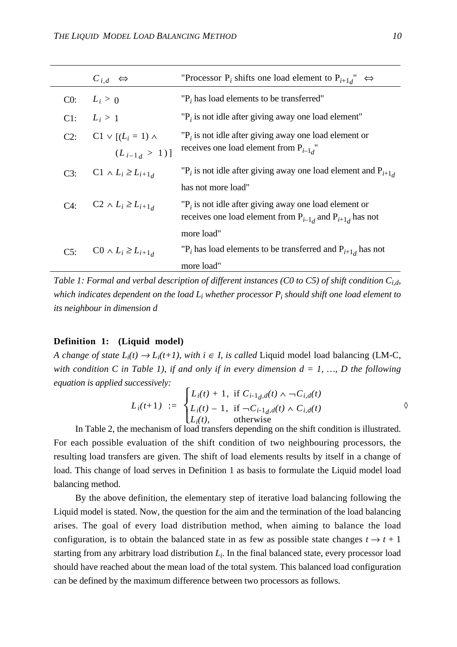|        | $C_{i,d} \Leftrightarrow$      | "Processor P <sub>i</sub> shifts one load element to P <sub>i+1</sub> <sup>"</sup> $\Leftrightarrow$                          |
|--------|--------------------------------|-------------------------------------------------------------------------------------------------------------------------------|
| CO:    | $L_i > 0$                      | $P_i$ has load elements to be transferred"                                                                                    |
| Cl:    | $L_i > 1$                      | $P_i$ is not idle after giving away one load element"                                                                         |
| $C2$ : | $C1 \vee [(L_i = 1) \wedge$    | $P_i$ is not idle after giving away one load element or                                                                       |
|        | $(L_{i-1,d} > 1)]$             | receives one load element from $P_{i-1}$                                                                                      |
| C3:    | $C1 \wedge L_i \geq L_{i+1,d}$ | " $P_i$ is not idle after giving away one load element and $P_{i+1}$                                                          |
|        |                                | has not more load"                                                                                                            |
| $C4$ : | $C2 \wedge L_i \geq L_{i+1}$   | $P_i$ is not idle after giving away one load element or<br>receives one load element from $P_{i-1,d}$ and $P_{i+1,d}$ has not |
|        |                                | more load"                                                                                                                    |
| $C5$ : | $C0 \wedge L_i \geq L_{i+1}$   | " $P_i$ has load elements to be transferred and $P_{i+1}$ has not                                                             |
|        |                                | more load"                                                                                                                    |

*Table 1: Formal and verbal description of different instances (C0 to C5) of shift condition Ci,d, which indicates dependent on the load Li whether processor Pi should shift one load element to its neighbour in dimension d*

## **Definition 1: (Liquid model)**

*A change of state*  $L_i(t) \to L_i(t+1)$ *, with*  $i \in I$ *, is called Liquid model load balancing (LM-C, with condition C in Table 1), if and only if in every dimension*  $d = 1, ..., D$  *the following equation is applied successively:*

$$
L_i(t+1) := \begin{cases} L_i(t) + 1, & \text{if } C_{i-1,d}(t) \wedge \neg C_{i,d}(t) \\ L_i(t) - 1, & \text{if } \neg C_{i-1,d}(t) \wedge C_{i,d}(t) \\ L_i(t), & \text{otherwise} \end{cases}
$$

In Table 2, the mechanism of load transfers depending on the shift condition is illustrated. For each possible evaluation of the shift condition of two neighbouring processors, the resulting load transfers are given. The shift of load elements results by itself in a change of load. This change of load serves in Definition 1 as basis to formulate the Liquid model load balancing method.

By the above definition, the elementary step of iterative load balancing following the Liquid model is stated. Now, the question for the aim and the termination of the load balancing arises. The goal of every load distribution method, when aiming to balance the load configuration, is to obtain the balanced state in as few as possible state changes  $t \to t + 1$ starting from any arbitrary load distribution *Li*. In the final balanced state, every processor load should have reached about the mean load of the total system. This balanced load configuration can be defined by the maximum difference between two processors as follows.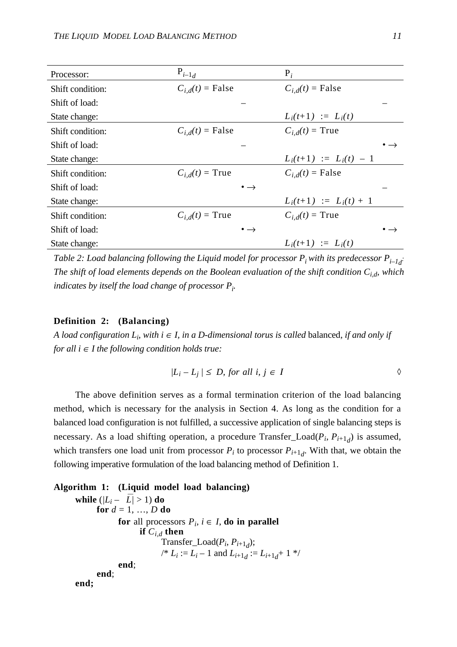| Processor:       | $P_{i-1_d}$           | $P_i$                    |  |
|------------------|-----------------------|--------------------------|--|
| Shift condition: | $C_{i,d}(t)$ = False  | $C_{i,d}(t)$ = False     |  |
| Shift of load:   |                       |                          |  |
| State change:    |                       | $L_i(t+1) := L_i(t)$     |  |
| Shift condition: | $C_{i,d}(t)$ = False  | $C_{i,d}(t)$ = True      |  |
| Shift of load:   |                       |                          |  |
| State change:    |                       | $L_i(t+1) := L_i(t) - 1$ |  |
| Shift condition: | $C_{i,d}(t)$ = True   | $C_{i,d}(t)$ = False     |  |
| Shift of load:   | $\bullet \rightarrow$ |                          |  |
| State change:    |                       | $L_i(t+1) := L_i(t) + 1$ |  |
| Shift condition: | $C_{i,d}(t)$ = True   | $C_{i,d}(t)$ = True      |  |
| Shift of load:   | $\bullet \rightarrow$ |                          |  |
| State change:    |                       | $L_i(t+1) := L_i(t)$     |  |

Table 2: Load balancing following the Liquid model for processor  $P_i$  with its predecessor  $P_{i\!-\!1_d}$ *The shift of load elements depends on the Boolean evaluation of the shift condition Ci,d, which indicates by itself the load change of processor Pi .*

#### **Definition 2: (Balancing)**

*A load configuration L<sub>i</sub>, with i ∈ I, in a D-dimensional torus is called balanced, if and only if for all*  $i \in I$  *the following condition holds true:* 

$$
|L_i - L_j| \le D, \text{ for all } i, j \in I
$$

The above definition serves as a formal termination criterion of the load balancing method, which is necessary for the analysis in Section 4. As long as the condition for a balanced load configuration is not fulfilled, a successive application of single balancing steps is necessary. As a load shifting operation, a procedure Transfer\_Load( $P_i$ ,  $P_{i+1}$ ) is assumed, which transfers one load unit from processor  $P_i$  to processor  $P_{i+1}$ . With that, we obtain the following imperative formulation of the load balancing method of Definition 1.

```
Algorithm 1: (Liquid model load balancing)
while (|L_i - \overline{L_i}| > 1) do
       for d = 1, ..., D do
              for all processors P_i, i \in I, do in parallel
                     if C_{i,d} then
                           Transfer_Load(P_i, P_{i+1}<sub>d</sub>);
                           \mu^* L_i := L_i - 1 and L_{i+1,i} := L_{i+1,i} + 1 */
              end;
       end;
end;
```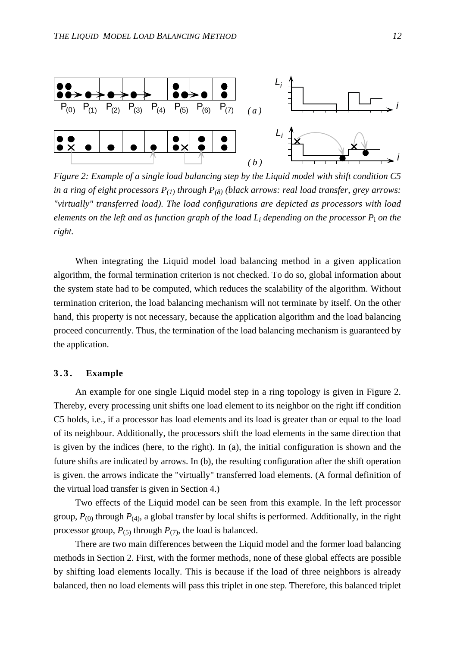

*Figure 2: Example of a single load balancing step by the Liquid model with shift condition C5 in a ring of eight processors P(1) through P(8) (black arrows: real load transfer, grey arrows: "virtually" transferred load). The load configurations are depicted as processors with load elements on the left and as function graph of the load Li depending on the processor P*i *on the right.*

When integrating the Liquid model load balancing method in a given application algorithm, the formal termination criterion is not checked. To do so, global information about the system state had to be computed, which reduces the scalability of the algorithm. Without termination criterion, the load balancing mechanism will not terminate by itself. On the other hand, this property is not necessary, because the application algorithm and the load balancing proceed concurrently. Thus, the termination of the load balancing mechanism is guaranteed by the application.

#### **3.3. Example**

An example for one single Liquid model step in a ring topology is given in Figure 2. Thereby, every processing unit shifts one load element to its neighbor on the right iff condition C5 holds, i.e., if a processor has load elements and its load is greater than or equal to the load of its neighbour. Additionally, the processors shift the load elements in the same direction that is given by the indices (here, to the right). In (a), the initial configuration is shown and the future shifts are indicated by arrows. In (b), the resulting configuration after the shift operation is given. the arrows indicate the "virtually" transferred load elements. (A formal definition of the virtual load transfer is given in Section 4.)

Two effects of the Liquid model can be seen from this example. In the left processor group,  $P_{(0)}$  through  $P_{(4)}$ , a global transfer by local shifts is performed. Additionally, in the right processor group,  $P_{(5)}$  through  $P_{(7)}$ , the load is balanced.

There are two main differences between the Liquid model and the former load balancing methods in Section 2. First, with the former methods, none of these global effects are possible by shifting load elements locally. This is because if the load of three neighbors is already balanced, then no load elements will pass this triplet in one step. Therefore, this balanced triplet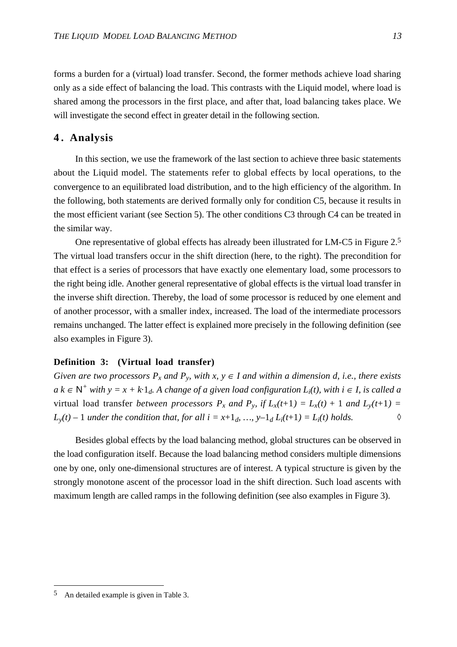forms a burden for a (virtual) load transfer. Second, the former methods achieve load sharing only as a side effect of balancing the load. This contrasts with the Liquid model, where load is shared among the processors in the first place, and after that, load balancing takes place. We will investigate the second effect in greater detail in the following section.

## **4. Analysis**

In this section, we use the framework of the last section to achieve three basic statements about the Liquid model. The statements refer to global effects by local operations, to the convergence to an equilibrated load distribution, and to the high efficiency of the algorithm. In the following, both statements are derived formally only for condition C5, because it results in the most efficient variant (see Section 5). The other conditions C3 through C4 can be treated in the similar way.

One representative of global effects has already been illustrated for LM-C5 in Figure 2.5 The virtual load transfers occur in the shift direction (here, to the right). The precondition for that effect is a series of processors that have exactly one elementary load, some processors to the right being idle. Another general representative of global effects is the virtual load transfer in the inverse shift direction. Thereby, the load of some processor is reduced by one element and of another processor, with a smaller index, increased. The load of the intermediate processors remains unchanged. The latter effect is explained more precisely in the following definition (see also examples in Figure 3).

#### **Definition 3: (Virtual load transfer)**

*Given are two processors*  $P_x$  *and*  $P_y$ *, with*  $x, y \in I$  *and within a dimension d, i.e., there exists a*  $k ∈ N^+$  with  $y = x + k \cdot 1_d$ . A change of a given load configuration  $L_i(t)$ , with  $i ∈ I$ , is called a virtual load transfer *between processors*  $P_x$  and  $P_y$ , if  $L_x(t+1) = L_x(t) + 1$  and  $L_y(t+1) =$  $L_y(t) - 1$  *under the condition that, for all i* =  $x+1_d$ , …,  $y-1_d$   $L_i(t+1) = L_i(t)$  *holds.*  $\Diamond$ 

Besides global effects by the load balancing method, global structures can be observed in the load configuration itself. Because the load balancing method considers multiple dimensions one by one, only one-dimensional structures are of interest. A typical structure is given by the strongly monotone ascent of the processor load in the shift direction. Such load ascents with maximum length are called ramps in the following definition (see also examples in Figure 3).

<sup>5</sup> An detailed example is given in Table 3.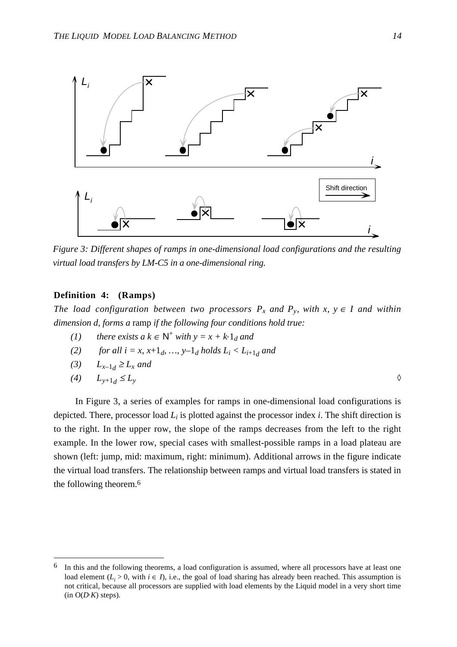

*Figure 3: Different shapes of ramps in one-dimensional load configurations and the resulting virtual load transfers by LM-C5 in a one-dimensional ring.*

# **Definition 4: (Ramps)**

*The load configuration between two processors*  $P_x$  and  $P_y$ , with  $x, y \in I$  and within *dimension d, forms a* ramp *if the following four conditions hold true:*

(1) there exists a 
$$
k \in \mathbb{N}^+
$$
 with  $y = x + k \cdot 1_d$  and

- (2) *for all i = x, x*+1*d, ..., y*-1*d holds L<sub>i</sub> < L<sub>i+1<i>d*</sub> and
- *(3)*  $L_{x-1} \ge L_x$  and

$$
(4) \qquad L_{y+1_d} \le L_y \qquad \qquad \Diamond
$$

In Figure 3, a series of examples for ramps in one-dimensional load configurations is depicted. There, processor load *Li* is plotted against the processor index *i*. The shift direction is to the right. In the upper row, the slope of the ramps decreases from the left to the right example. In the lower row, special cases with smallest-possible ramps in a load plateau are shown (left: jump, mid: maximum, right: minimum). Additional arrows in the figure indicate the virtual load transfers. The relationship between ramps and virtual load transfers is stated in the following theorem.6

In this and the following theorems, a load configuration is assumed, where all processors have at least one load element  $(L_i > 0$ , with  $i \in I$ ), i.e., the goal of load sharing has already been reached. This assumption is not critical, because all processors are supplied with load elements by the Liquid model in a very short time  $(in O(D K)$  steps).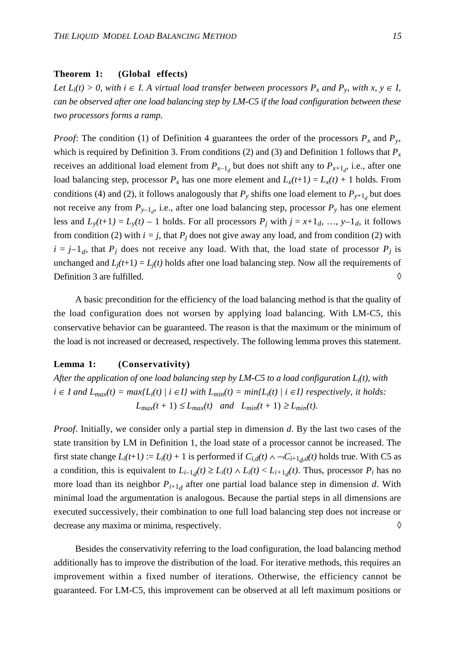#### **Theorem 1: (Global effects)**

*Let*  $L_i(t) > 0$ , with  $i \in I$ . A virtual load transfer between processors  $P_x$  and  $P_y$ , with  $x, y \in I$ , *can be observed after one load balancing step by LM-C5 if the load configuration between these two processors forms a ramp.*

*Proof:* The condition (1) of Definition 4 guarantees the order of the processors  $P_x$  and  $P_y$ , which is required by Definition 3. From conditions (2) and (3) and Definition 1 follows that  $P_x$ receives an additional load element from  $P_{x-1_d}$  but does not shift any to  $P_{x+1_d}$ , i.e., after one load balancing step, processor  $P_x$  has one more element and  $L_x(t+1) = L_x(t) + 1$  holds. From conditions (4) and (2), it follows analogously that  $P_y$  shifts one load element to  $P_{y+1_d}$  but does not receive any from  $P_{y-1_d}$ , i.e., after one load balancing step, processor  $P_y$  has one element less and  $L_y(t+1) = L_y(t) - 1$  holds. For all processors  $P_j$  with  $j = x+1_d, ..., y-1_d$ , it follows from condition (2) with  $i = j$ , that  $P_j$  does not give away any load, and from condition (2) with  $i = j-1<sub>d</sub>$ , that  $P<sub>j</sub>$  does not receive any load. With that, the load state of processor  $P<sub>j</sub>$  is unchanged and  $L_i(t+1) = L_i(t)$  holds after one load balancing step. Now all the requirements of Definition 3 are fulfilled.  $\Diamond$ 

A basic precondition for the efficiency of the load balancing method is that the quality of the load configuration does not worsen by applying load balancing. With LM-C5, this conservative behavior can be guaranteed. The reason is that the maximum or the minimum of the load is not increased or decreased, respectively. The following lemma proves this statement.

#### **Lemma 1: (Conservativity)**

*After the application of one load balancing step by LM-C5 to a load configuration Li(t), with i* ∈ *I* and  $L_{max}(t) = max\{L_i(t) \mid i \in I\}$  with  $L_{min}(t) = min\{L_i(t) \mid i \in I\}$  respectively, it holds:  $L_{max}(t + 1) \le L_{max}(t)$  and  $L_{min}(t + 1) \ge L_{min}(t)$ .

*Proof*. Initially, we consider only a partial step in dimension *d*. By the last two cases of the state transition by LM in Definition 1, the load state of a processor cannot be increased. The first state change  $L_i(t+1) := L_i(t) + 1$  is performed if  $C_{i,d}(t) \wedge \neg C_{i+1,d}(t)$  holds true. With C5 as a condition, this is equivalent to  $L_{i-1,d}(t) \ge L_i(t) \wedge L_i(t) < L_{i+1,d}(t)$ . Thus, processor  $P_i$  has no more load than its neighbor  $P_{i+1,d}$  after one partial load balance step in dimension *d*. With minimal load the argumentation is analogous. Because the partial steps in all dimensions are executed successively, their combination to one full load balancing step does not increase or decrease any maxima or minima, respectively.  $\Diamond$ 

Besides the conservativity referring to the load configuration, the load balancing method additionally has to improve the distribution of the load. For iterative methods, this requires an improvement within a fixed number of iterations. Otherwise, the efficiency cannot be guaranteed. For LM-C5, this improvement can be observed at all left maximum positions or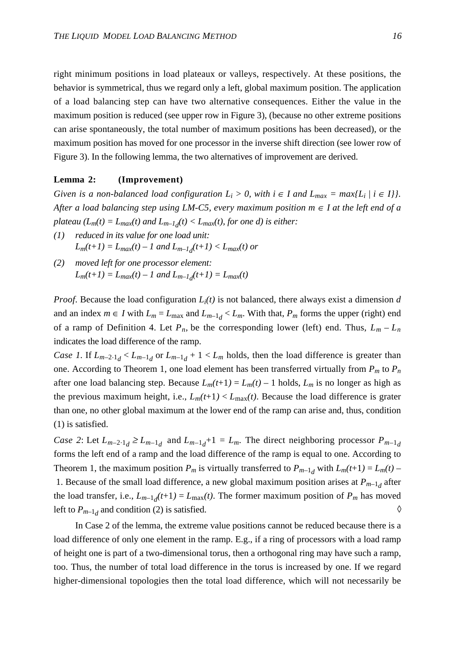right minimum positions in load plateaux or valleys, respectively. At these positions, the behavior is symmetrical, thus we regard only a left, global maximum position. The application of a load balancing step can have two alternative consequences. Either the value in the maximum position is reduced (see upper row in Figure 3), (because no other extreme positions can arise spontaneously, the total number of maximum positions has been decreased), or the maximum position has moved for one processor in the inverse shift direction (see lower row of Figure 3). In the following lemma, the two alternatives of improvement are derived.

## **Lemma 2: (Improvement)**

*Given is a non-balanced load configuration*  $L_i > 0$ , with  $i \in I$  and  $L_{max} = max\{L_i \mid i \in I\}$ . *After a load balancing step using LM-C5, every maximum position*  $m \in I$  *at the left end of a plateau* ( $L_m(t) = L_{max}(t)$  *and*  $L_{m-1,d}(t) < L_{max}(t)$ , *for one d) is either:* 

- *(1) reduced in its value for one load unit:*  $L_m(t+1) = L_{max}(t) - 1$  and  $L_{m-1,d}(t+1) < L_{max}(t)$  or
- *(2) moved left for one processor element:*  $L_m(t+1) = L_{max}(t) - 1$  and  $L_{m-1,d}(t+1) = L_{max}(t)$

*Proof.* Because the load configuration  $L_i(t)$  is not balanced, there always exist a dimension *d* and an index  $m \in I$  with  $L_m = L_{\text{max}}$  and  $L_{m-1,d} < L_m$ . With that,  $P_m$  forms the upper (right) end of a ramp of Definition 4. Let  $P_n$ , be the corresponding lower (left) end. Thus,  $L_m - L_n$ indicates the load difference of the ramp.

*Case 1.* If  $L_{m-2,1}$   $\lt l_{m-1,d}$  or  $L_{m-1,d}$  + 1  $\lt L_m$  holds, then the load difference is greater than one. According to Theorem 1, one load element has been transferred virtually from *Pm* to *Pn* after one load balancing step. Because  $L_m(t+1) = L_m(t) - 1$  holds,  $L_m$  is no longer as high as the previous maximum height, i.e.,  $L_m(t+1) < L_{\text{max}}(t)$ . Because the load difference is grater than one, no other global maximum at the lower end of the ramp can arise and, thus, condition (1) is satisfied.

*Case 2*: Let  $L_{m-2,1} \ge L_{m-1,d}$  and  $L_{m-1,d}+1 = L_m$ . The direct neighboring processor  $P_{m-1,d}$ forms the left end of a ramp and the load difference of the ramp is equal to one. According to Theorem 1, the maximum position  $P_m$  is virtually transferred to  $P_{m-1}$  with  $L_m(t+1) = L_m(t)$ 

1. Because of the small load difference, a new global maximum position arises at  $P_{m-1,d}$  after the load transfer, i.e.,  $L_{m-1,d}(t+1) = L_{\text{max}}(t)$ . The former maximum position of  $P_m$  has moved left to  $P_{m-1,d}$  and condition (2) is satisfied.

In Case 2 of the lemma, the extreme value positions cannot be reduced because there is a load difference of only one element in the ramp. E.g., if a ring of processors with a load ramp of height one is part of a two-dimensional torus, then a orthogonal ring may have such a ramp, too. Thus, the number of total load difference in the torus is increased by one. If we regard higher-dimensional topologies then the total load difference, which will not necessarily be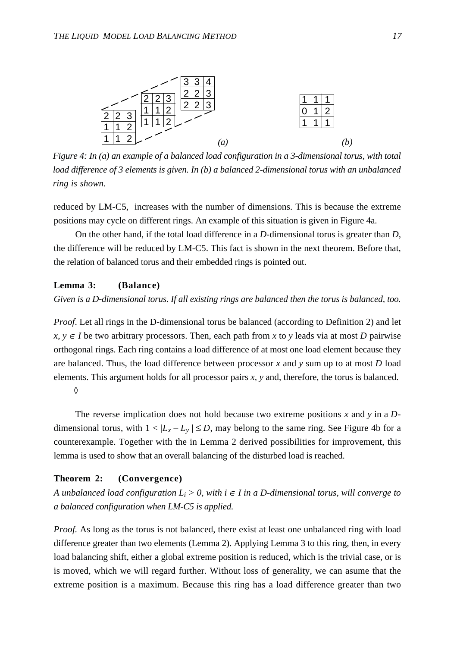

*Figure 4: In (a) an example of a balanced load configuration in a 3-dimensional torus, with total load difference of 3 elements is given. In (b) a balanced 2-dimensional torus with an unbalanced ring is shown.*

reduced by LM-C5, increases with the number of dimensions. This is because the extreme positions may cycle on different rings. An example of this situation is given in Figure 4a.

On the other hand, if the total load difference in a *D*-dimensional torus is greater than *D*, the difference will be reduced by LM-C5. This fact is shown in the next theorem. Before that, the relation of balanced torus and their embedded rings is pointed out.

## **Lemma 3: (Balance)**

*Given is a D-dimensional torus. If all existing rings are balanced then the torus is balanced, too.*

*Proof.* Let all rings in the D-dimensional torus be balanced (according to Definition 2) and let *x*, *y* ∈ *I* be two arbitrary processors. Then, each path from *x* to *y* leads via at most *D* pairwise orthogonal rings. Each ring contains a load difference of at most one load element because they are balanced. Thus, the load difference between processor *x* and *y* sum up to at most *D* load elements. This argument holds for all processor pairs *x, y* and, therefore, the torus is balanced. ◊

The reverse implication does not hold because two extreme positions *x* and *y* in a *D*dimensional torus, with  $1 < |L_x - L_y| \le D$ , may belong to the same ring. See Figure 4b for a counterexample. Together with the in Lemma 2 derived possibilities for improvement, this lemma is used to show that an overall balancing of the disturbed load is reached.

# **Theorem 2: (Convergence)**

*A unbalanced load configuration*  $L_i > 0$ , with  $i \in I$  in a D-dimensional torus, will converge to *a balanced configuration when LM-C5 is applied.*

*Proof.* As long as the torus is not balanced, there exist at least one unbalanced ring with load difference greater than two elements (Lemma 2). Applying Lemma 3 to this ring, then, in every load balancing shift, either a global extreme position is reduced, which is the trivial case, or is is moved, which we will regard further. Without loss of generality, we can asume that the extreme position is a maximum. Because this ring has a load difference greater than two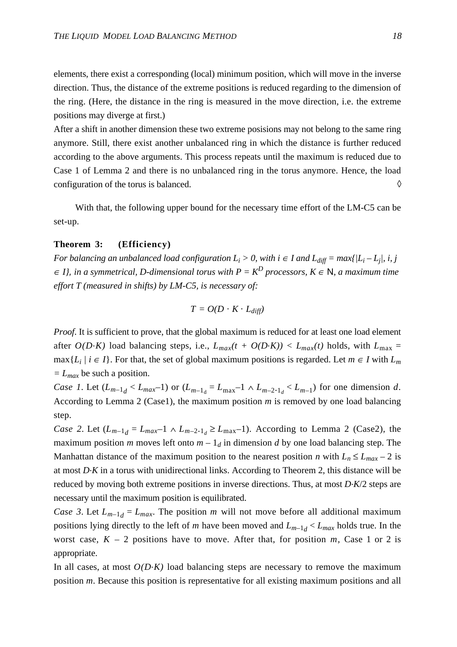elements, there exist a corresponding (local) minimum position, which will move in the inverse direction. Thus, the distance of the extreme positions is reduced regarding to the dimension of the ring. (Here, the distance in the ring is measured in the move direction, i.e. the extreme positions may diverge at first.)

After a shift in another dimension these two extreme posisions may not belong to the same ring anymore. Still, there exist another unbalanced ring in which the distance is further reduced according to the above arguments. This process repeats until the maximum is reduced due to Case 1 of Lemma 2 and there is no unbalanced ring in the torus anymore. Hence, the load configuration of the torus is balanced.  $\Diamond$ 

With that, the following upper bound for the necessary time effort of the LM-C5 can be set-up.

#### **Theorem 3: (Efficiency)**

*For balancing an unbalanced load configuration*  $L_i > 0$ , with  $i \in I$  and  $L_{diff} = max\{ |L_i - L_i|, i, j \}$  $\in$  *I},* in a symmetrical, D-dimensional torus with  $P = K^D$  processors,  $K \in \mathbb{N}$ , a maximum time *effort T (measured in shifts) by LM-C5, is necessary of:*

$$
T = O(D \cdot K \cdot L_{diff})
$$

*Proof.* It is sufficient to prove, that the global maximum is reduced for at least one load element after  $O(D\cdot K)$  load balancing steps, i.e.,  $L_{max}(t + O(D\cdot K)) < L_{max}(t)$  holds, with  $L_{max} =$ max{*L<sub>i</sub>* / *i* ∈ *I*}. For that, the set of global maximum positions is regarded. Let *m* ∈ *I* with *L<sub>m</sub> = Lmax* be such a position.

*Case 1*. Let  $(L_{m-1_d} < L_{max}-1)$  or  $(L_{m-1_d} = L_{max}-1 \wedge L_{m-2,1_d} < L_{m-1})$  for one dimension *d*. According to Lemma 2 (Case1), the maximum position  $m$  is removed by one load balancing step.

*Case 2.* Let  $(L_{m-1_d} = L_{max}-1 \wedge L_{m-2.1_d} \ge L_{max}-1)$ . According to Lemma 2 (Case2), the maximum position *m* moves left onto  $m - 1_d$  in dimension *d* by one load balancing step. The Manhattan distance of the maximum position to the nearest position *n* with  $L_n \le L_{max} - 2$  is at most *D*.*K* in a torus with unidirectional links. According to Theorem 2, this distance will be reduced by moving both extreme positions in inverse directions. Thus, at most *D*.*K*/2 steps are necessary until the maximum position is equilibrated.

*Case 3.* Let  $L_{m-1,d} = L_{max}$ . The position *m* will not move before all additional maximum positions lying directly to the left of *m* have been moved and  $L_{m-1,d} < L_{max}$  holds true. In the worst case,  $K - 2$  positions have to move. After that, for position  $m$ , Case 1 or 2 is appropriate.

In all cases, at most  $O(DK)$  load balancing steps are necessary to remove the maximum position *m*. Because this position is representative for all existing maximum positions and all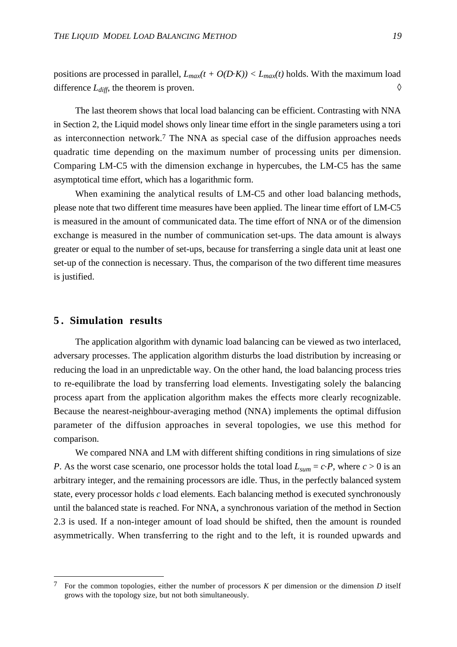positions are processed in parallel,  $L_{max}(t + O(DK)) < L_{max}(t)$  holds. With the maximum load difference  $L_{diff}$ , the theorem is proven.  $\Diamond$ 

The last theorem shows that local load balancing can be efficient. Contrasting with NNA in Section 2, the Liquid model shows only linear time effort in the single parameters using a tori as interconnection network.7 The NNA as special case of the diffusion approaches needs quadratic time depending on the maximum number of processing units per dimension. Comparing LM-C5 with the dimension exchange in hypercubes, the LM-C5 has the same asymptotical time effort, which has a logarithmic form.

When examining the analytical results of LM-C5 and other load balancing methods, please note that two different time measures have been applied. The linear time effort of LM-C5 is measured in the amount of communicated data. The time effort of NNA or of the dimension exchange is measured in the number of communication set-ups. The data amount is always greater or equal to the number of set-ups, because for transferring a single data unit at least one set-up of the connection is necessary. Thus, the comparison of the two different time measures is justified.

## **5 . Simulation results**

The application algorithm with dynamic load balancing can be viewed as two interlaced, adversary processes. The application algorithm disturbs the load distribution by increasing or reducing the load in an unpredictable way. On the other hand, the load balancing process tries to re-equilibrate the load by transferring load elements. Investigating solely the balancing process apart from the application algorithm makes the effects more clearly recognizable. Because the nearest-neighbour-averaging method (NNA) implements the optimal diffusion parameter of the diffusion approaches in several topologies, we use this method for comparison.

We compared NNA and LM with different shifting conditions in ring simulations of size *P*. As the worst case scenario, one processor holds the total load  $L_{sum} = c \cdot P$ , where  $c > 0$  is an arbitrary integer, and the remaining processors are idle. Thus, in the perfectly balanced system state, every processor holds *c* load elements. Each balancing method is executed synchronously until the balanced state is reached. For NNA, a synchronous variation of the method in Section 2.3 is used. If a non-integer amount of load should be shifted, then the amount is rounded asymmetrically. When transferring to the right and to the left, it is rounded upwards and

<sup>7</sup> For the common topologies, either the number of processors *K* per dimension or the dimension *D* itself grows with the topology size, but not both simultaneously.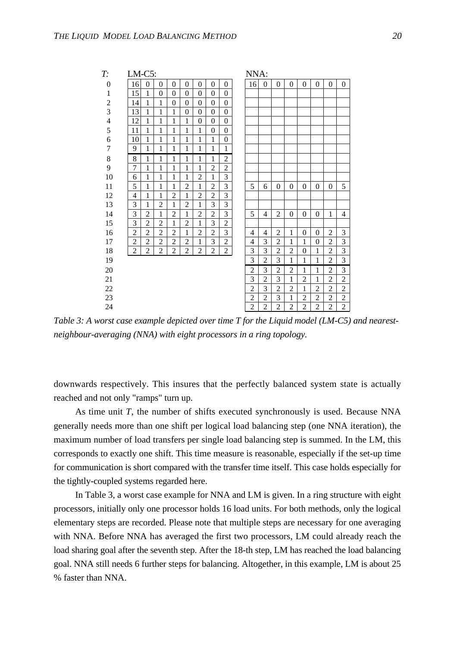| T:                      | $LM-C5$ :      |                |                |                |                |                |                  |                  | NNA:           |                |                |                |                  |                |                |                  |
|-------------------------|----------------|----------------|----------------|----------------|----------------|----------------|------------------|------------------|----------------|----------------|----------------|----------------|------------------|----------------|----------------|------------------|
| 0                       | 16             | $\overline{0}$ | $\Omega$       | $\theta$       | $\Omega$       | $\theta$       | $\Omega$         | $\Omega$         | 16             | $\theta$       | $\theta$       | $\Omega$       | $\overline{0}$   | $\overline{0}$ | $\mathbf{0}$   | $\mathbf{0}$     |
| $\mathbf{1}$            | 15             | 1              | $\theta$       | $\theta$       | $\theta$       | $\theta$       | $\theta$         | $\Omega$         |                |                |                |                |                  |                |                |                  |
| $\overline{c}$          | 14             | 1              | 1              | $\theta$       | $\theta$       | $\theta$       | $\Omega$         | $\Omega$         |                |                |                |                |                  |                |                |                  |
| $\overline{\mathbf{3}}$ | 13             | $\mathbf{1}$   | 1              | 1              | $\theta$       | $\theta$       | $\Omega$         | $\Omega$         |                |                |                |                |                  |                |                |                  |
| $\overline{4}$          | 12             | 1              | 1              | 1              | 1              | $\overline{0}$ | $\theta$         | $\mathbf{0}$     |                |                |                |                |                  |                |                |                  |
| 5                       | 11             | 1              | 1              | 1              | 1              | $\mathbf{1}$   | $\boldsymbol{0}$ | $\boldsymbol{0}$ |                |                |                |                |                  |                |                |                  |
| $\overline{6}$          | 10             | 1              | 1              | 1              | 1              | 1              | $\mathbf{1}$     | $\mathbf{0}$     |                |                |                |                |                  |                |                |                  |
| $\sqrt{ }$              | 9              | 1              | 1              | 1              | 1              | 1              | 1                | $\mathbf{1}$     |                |                |                |                |                  |                |                |                  |
| 8                       | 8              | $\mathbf{1}$   | 1              | 1              | 1              | 1              | $\mathbf{1}$     | $\overline{2}$   |                |                |                |                |                  |                |                |                  |
| 9                       | 7              | 1              | 1              | 1              | 1              | 1              | $\overline{2}$   | $\overline{2}$   |                |                |                |                |                  |                |                |                  |
| 10                      | 6              | 1              | 1              | 1              | 1              | $\overline{2}$ | $\mathbf{1}$     | 3                |                |                |                |                |                  |                |                |                  |
| 11                      | 5              | 1              | 1              | 1              | $\overline{2}$ | 1              | $\overline{2}$   | 3                | 5              | 6              | $\theta$       | $\overline{0}$ | $\overline{0}$   | $\theta$       | $\overline{0}$ | 5                |
| 12                      | 4              | 1              | 1              | $\overline{c}$ | 1              | $\overline{c}$ | $\overline{2}$   | 3                |                |                |                |                |                  |                |                |                  |
| 13                      | 3              | 1              | $\overline{2}$ | 1              | $\overline{2}$ | $\mathbf{1}$   | 3                | 3                |                |                |                |                |                  |                |                |                  |
| 14                      | 3              | $\overline{2}$ | 1              | $\overline{2}$ | 1              | $\overline{2}$ | $\overline{2}$   | 3                | 5              | $\overline{4}$ | $\overline{2}$ | $\overline{0}$ | 0                | $\theta$       | 1              | 4                |
| 15                      | 3              | $\overline{2}$ | $\overline{2}$ | 1              | $\overline{2}$ | $\mathbf{1}$   | 3                | $\overline{2}$   |                |                |                |                |                  |                |                |                  |
| 16                      | $\overline{2}$ | $\overline{2}$ | $\overline{2}$ | $\overline{c}$ | 1              | $\overline{2}$ | $\overline{2}$   | 3                | 4              | 4              | 2              | $\mathbf{1}$   | 0                | $\theta$       | 2              | 3                |
| 17                      | $\overline{2}$ | $\overline{2}$ | $\overline{2}$ | $\overline{2}$ | $\overline{2}$ | 1              | 3                | $\overline{2}$   | 4              | 3              | $\overline{2}$ | 1              | 1                | $\theta$       | $\overline{c}$ | 3                |
| 18                      | $\overline{2}$ | $\overline{c}$ | $\overline{2}$ | $\overline{2}$ | $\overline{2}$ | $\overline{2}$ | $\overline{2}$   | $\overline{c}$   | 3              | 3              | $\overline{c}$ | $\overline{c}$ | $\boldsymbol{0}$ | $\mathbf{1}$   | $\overline{c}$ | 3                |
| 19                      |                |                |                |                |                |                |                  |                  | 3              | $\overline{2}$ | 3              | 1              | $\mathbf{1}$     | $\mathbf{1}$   | $\overline{2}$ | 3                |
| 20                      |                |                |                |                |                |                |                  |                  | $\overline{2}$ | 3              | $\overline{2}$ | $\overline{2}$ | $\mathbf{1}$     | $\mathbf{1}$   | $\overline{2}$ | 3                |
| 21                      |                |                |                |                |                |                |                  |                  | 3              | $\overline{2}$ | 3              | $\mathbf{1}$   | $\overline{2}$   | $\mathbf{1}$   | $\overline{c}$ | $\overline{2}$   |
| 22                      |                |                |                |                |                |                |                  |                  | $\overline{c}$ | 3              | $\overline{c}$ | $\overline{2}$ | $\mathbf{1}$     | $\overline{c}$ | $\overline{c}$ | $\overline{c}$   |
| 23                      |                |                |                |                |                |                |                  |                  | $\overline{2}$ | $\overline{2}$ | 3              | $\mathbf{1}$   | $\overline{2}$   | $\overline{2}$ | $\overline{c}$ | $\overline{c}$   |
| 24                      |                |                |                |                |                |                |                  |                  | $\overline{2}$ | $\overline{2}$ | $\overline{2}$ | $\overline{2}$ | $\overline{c}$   | $\overline{2}$ | $\overline{2}$ | $\boldsymbol{2}$ |

*Table 3: A worst case example depicted over time T for the Liquid model (LM-C5) and nearestneighbour-averaging (NNA) with eight processors in a ring topology.*

downwards respectively. This insures that the perfectly balanced system state is actually reached and not only "ramps" turn up.

As time unit *T*, the number of shifts executed synchronously is used. Because NNA generally needs more than one shift per logical load balancing step (one NNA iteration), the maximum number of load transfers per single load balancing step is summed. In the LM, this corresponds to exactly one shift. This time measure is reasonable, especially if the set-up time for communication is short compared with the transfer time itself. This case holds especially for the tightly-coupled systems regarded here.

In Table 3, a worst case example for NNA and LM is given. In a ring structure with eight processors, initially only one processor holds 16 load units. For both methods, only the logical elementary steps are recorded. Please note that multiple steps are necessary for one averaging with NNA. Before NNA has averaged the first two processors, LM could already reach the load sharing goal after the seventh step. After the 18-th step, LM has reached the load balancing goal. NNA still needs 6 further steps for balancing. Altogether, in this example, LM is about 25 % faster than NNA.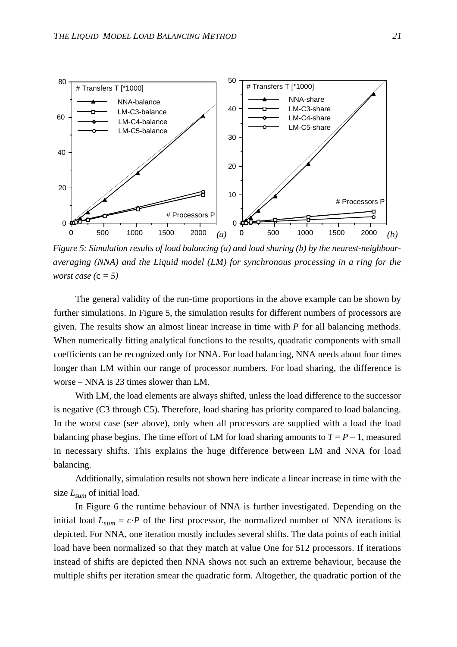

*Figure 5: Simulation results of load balancing (a) and load sharing (b) by the nearest-neighbouraveraging (NNA) and the Liquid model (LM) for synchronous processing in a ring for the worst case (*c *= 5)*

The general validity of the run-time proportions in the above example can be shown by further simulations. In Figure 5, the simulation results for different numbers of processors are given. The results show an almost linear increase in time with *P* for all balancing methods. When numerically fitting analytical functions to the results, quadratic components with small coefficients can be recognized only for NNA. For load balancing, NNA needs about four times longer than LM within our range of processor numbers. For load sharing, the difference is worse – NNA is 23 times slower than LM.

With LM, the load elements are always shifted, unless the load difference to the successor is negative (C3 through C5). Therefore, load sharing has priority compared to load balancing. In the worst case (see above), only when all processors are supplied with a load the load balancing phase begins. The time effort of LM for load sharing amounts to  $T = P - 1$ , measured in necessary shifts. This explains the huge difference between LM and NNA for load balancing.

Additionally, simulation results not shown here indicate a linear increase in time with the size *Lsum* of initial load.

In Figure 6 the runtime behaviour of NNA is further investigated. Depending on the initial load  $L_{sum} = c \cdot P$  of the first processor, the normalized number of NNA iterations is depicted. For NNA, one iteration mostly includes several shifts. The data points of each initial load have been normalized so that they match at value One for 512 processors. If iterations instead of shifts are depicted then NNA shows not such an extreme behaviour, because the multiple shifts per iteration smear the quadratic form. Altogether, the quadratic portion of the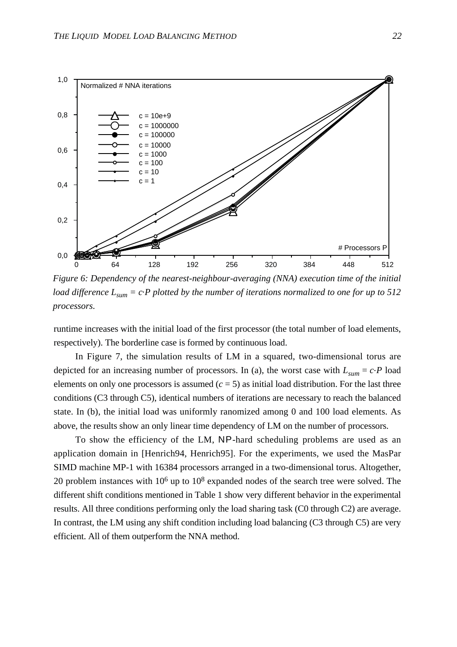

*Figure 6: Dependency of the nearest-neighbour-averaging (NNA) execution time of the initial load difference*  $L_{sum} = c \cdot P$  *plotted by the number of iterations normalized to one for up to 512 processors.*

runtime increases with the initial load of the first processor (the total number of load elements, respectively). The borderline case is formed by continuous load.

In Figure 7, the simulation results of LM in a squared, two-dimensional torus are depicted for an increasing number of processors. In (a), the worst case with  $L_{sum} = c \cdot P$  load elements on only one processors is assumed  $(c = 5)$  as initial load distribution. For the last three conditions (C3 through C5), identical numbers of iterations are necessary to reach the balanced state. In (b), the initial load was uniformly ranomized among 0 and 100 load elements. As above, the results show an only linear time dependency of LM on the number of processors.

To show the efficiency of the LM, NP-hard scheduling problems are used as an application domain in [Henrich94, Henrich95]. For the experiments, we used the MasPar SIMD machine MP-1 with 16384 processors arranged in a two-dimensional torus. Altogether, 20 problem instances with 106 up to 108 expanded nodes of the search tree were solved. The different shift conditions mentioned in Table 1 show very different behavior in the experimental results. All three conditions performing only the load sharing task (C0 through C2) are average. In contrast, the LM using any shift condition including load balancing (C3 through C5) are very efficient. All of them outperform the NNA method.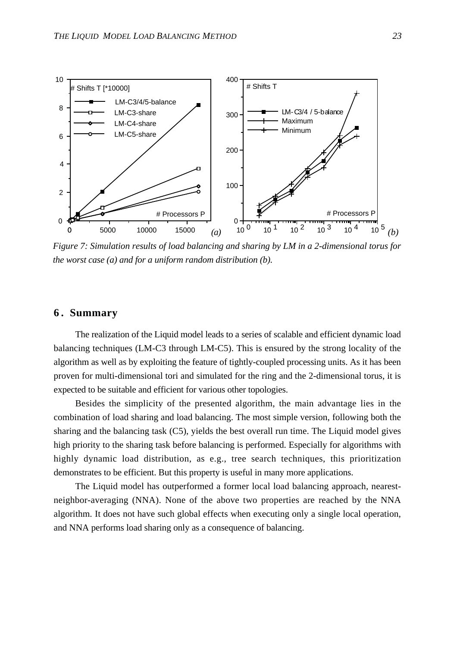

*Figure 7: Simulation results of load balancing and sharing by LM in a 2-dimensional torus for the worst case (a) and for a uniform random distribution (b).*

# **6 . Summary**

The realization of the Liquid model leads to a series of scalable and efficient dynamic load balancing techniques (LM-C3 through LM-C5). This is ensured by the strong locality of the algorithm as well as by exploiting the feature of tightly-coupled processing units. As it has been proven for multi-dimensional tori and simulated for the ring and the 2-dimensional torus, it is expected to be suitable and efficient for various other topologies.

Besides the simplicity of the presented algorithm, the main advantage lies in the combination of load sharing and load balancing. The most simple version, following both the sharing and the balancing task (C5), yields the best overall run time. The Liquid model gives high priority to the sharing task before balancing is performed. Especially for algorithms with highly dynamic load distribution, as e.g., tree search techniques, this prioritization demonstrates to be efficient. But this property is useful in many more applications.

The Liquid model has outperformed a former local load balancing approach, nearestneighbor-averaging (NNA). None of the above two properties are reached by the NNA algorithm. It does not have such global effects when executing only a single local operation, and NNA performs load sharing only as a consequence of balancing.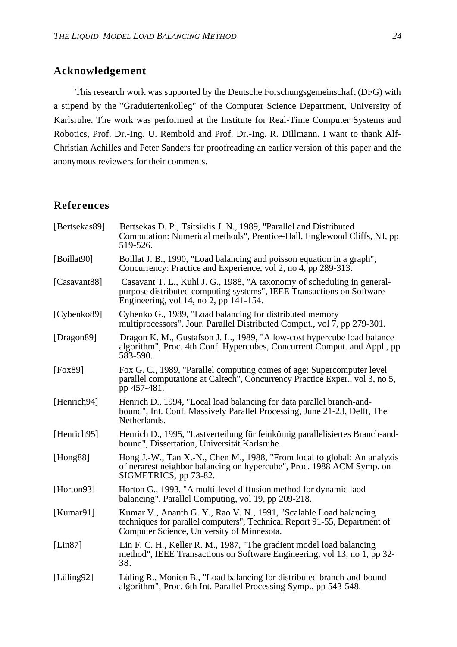# **Acknowledgement**

This research work was supported by the Deutsche Forschungsgemeinschaft (DFG) with a stipend by the "Graduiertenkolleg" of the Computer Science Department, University of Karlsruhe. The work was performed at the Institute for Real-Time Computer Systems and Robotics, Prof. Dr.-Ing. U. Rembold and Prof. Dr.-Ing. R. Dillmann. I want to thank Alf-Christian Achilles and Peter Sanders for proofreading an earlier version of this paper and the anonymous reviewers for their comments.

# **References**

| [Bertsekas89]  | Bertsekas D. P., Tsitsiklis J. N., 1989, "Parallel and Distributed<br>Computation: Numerical methods", Prentice-Hall, Englewood Cliffs, NJ, pp<br>519-526.                                   |
|----------------|----------------------------------------------------------------------------------------------------------------------------------------------------------------------------------------------|
| [Boillat90]    | Boillat J. B., 1990, "Load balancing and poisson equation in a graph",<br>Concurrency: Practice and Experience, vol 2, no 4, pp 289-313.                                                     |
| [Casavant88]   | Casavant T. L., Kuhl J. G., 1988, "A taxonomy of scheduling in general-<br>purpose distributed computing systems", IEEE Transactions on Software<br>Engineering, vol 14, no 2, pp 141-154.   |
| [Cybenko89]    | Cybenko G., 1989, "Load balancing for distributed memory<br>multiprocessors", Jour. Parallel Distributed Comput., vol 7, pp 279-301.                                                         |
| [Dragon89]     | Dragon K. M., Gustafson J. L., 1989, "A low-cost hypercube load balance<br>algorithm", Proc. 4th Conf. Hypercubes, Concurrent Comput. and Appl., pp<br>583-590.                              |
| [Fox89]        | Fox G. C., 1989, "Parallel computing comes of age: Supercomputer level<br>parallel computations at Caltech", Concurrency Practice Exper., vol 3, no 5,<br>pp 457-481.                        |
| [Henrich94]    | Henrich D., 1994, "Local load balancing for data parallel branch-and-<br>bound", Int. Conf. Massively Parallel Processing, June 21-23, Delft, The<br>Netherlands.                            |
| [Henrich95]    | Henrich D., 1995, "Lastverteilung für feinkörnig parallelisiertes Branch-and-<br>bound", Dissertation, Universität Karlsruhe.                                                                |
| [Hong88]       | Hong J.-W., Tan X.-N., Chen M., 1988, "From local to global: An analyzis<br>of nerarest neighbor balancing on hypercube", Proc. 1988 ACM Symp. on<br>SIGMETRICS, pp 73-82.                   |
| [Horton93]     | Horton G., 1993, "A multi-level diffusion method for dynamic laod<br>balancing", Parallel Computing, vol 19, pp 209-218.                                                                     |
| [Kumar91]      | Kumar V., Ananth G. Y., Rao V. N., 1991, "Scalable Load balancing<br>techniques for parallel computers", Technical Report 91-55, Department of<br>Computer Science, University of Minnesota. |
| [Lin87]        | Lin F. C. H., Keller R. M., 1987, "The gradient model load balancing<br>method", IEEE Transactions on Software Engineering, vol 13, no 1, pp 32-<br>38.                                      |
| [Lüling $92$ ] | Lüling R., Monien B., "Load balancing for distributed branch-and-bound<br>algorithm", Proc. 6th Int. Parallel Processing Symp., pp 543-548.                                                  |